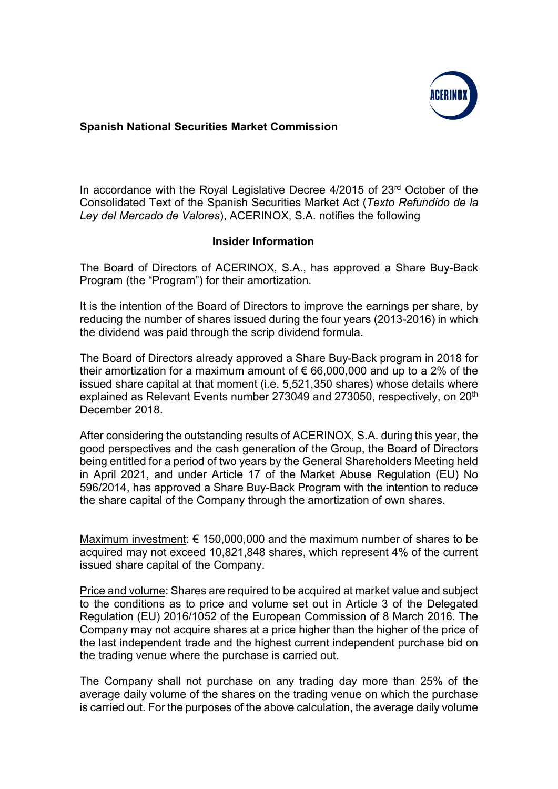

## Spanish National Securities Market Commission

In accordance with the Royal Legislative Decree 4/2015 of 23<sup>rd</sup> October of the Consolidated Text of the Spanish Securities Market Act (Texto Refundido de la Ley del Mercado de Valores), ACERINOX, S.A. notifies the following

## Insider Information

The Board of Directors of ACERINOX, S.A., has approved a Share Buy-Back Program (the "Program") for their amortization.

It is the intention of the Board of Directors to improve the earnings per share, by reducing the number of shares issued during the four years (2013-2016) in which the dividend was paid through the scrip dividend formula.

The Board of Directors already approved a Share Buy-Back program in 2018 for their amortization for a maximum amount of  $\epsilon$  66,000,000 and up to a 2% of the issued share capital at that moment (i.e. 5,521,350 shares) whose details where explained as Relevant Events number 273049 and 273050, respectively, on 20<sup>th</sup> December 2018.

After considering the outstanding results of ACERINOX, S.A. during this year, the good perspectives and the cash generation of the Group, the Board of Directors being entitled for a period of two years by the General Shareholders Meeting held in April 2021, and under Article 17 of the Market Abuse Regulation (EU) No 596/2014, has approved a Share Buy-Back Program with the intention to reduce the share capital of the Company through the amortization of own shares.

Maximum investment:  $\epsilon$  150,000,000 and the maximum number of shares to be acquired may not exceed 10,821,848 shares, which represent 4% of the current issued share capital of the Company.

Price and volume: Shares are required to be acquired at market value and subject to the conditions as to price and volume set out in Article 3 of the Delegated Regulation (EU) 2016/1052 of the European Commission of 8 March 2016. The Company may not acquire shares at a price higher than the higher of the price of the last independent trade and the highest current independent purchase bid on the trading venue where the purchase is carried out.

The Company shall not purchase on any trading day more than 25% of the average daily volume of the shares on the trading venue on which the purchase is carried out. For the purposes of the above calculation, the average daily volume